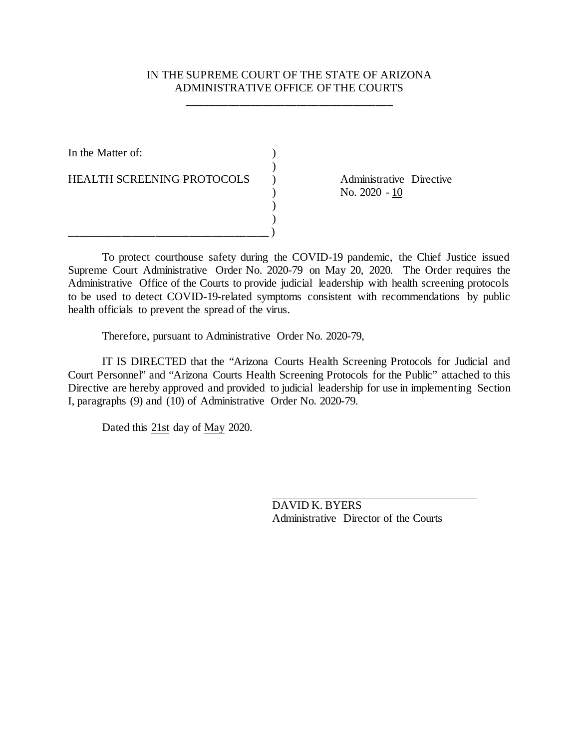## IN THE SUPREME COURT OF THE STATE OF ARIZONA ADMINISTRATIVE OFFICE OF THE COURTS

**\_\_\_\_\_\_\_\_\_\_\_\_\_\_\_\_\_\_\_\_\_\_\_\_\_\_\_\_\_\_\_\_\_\_\_\_**

)

) )

In the Matter of:  $\qquad \qquad$  )

HEALTH SCREENING PROTOCOLS ) Administrative Directive

\_\_\_\_\_\_\_\_\_\_\_\_\_\_\_\_\_\_\_\_\_\_\_\_\_\_\_\_\_\_\_\_\_\_\_ )

 $N_{\rm O.} 2020 - 10$ 

To protect courthouse safety during the COVID-19 pandemic, the Chief Justice issued Supreme Court Administrative Order No. 2020-79 on May 20, 2020. The Order requires the Administrative Office of the Courts to provide judicial leadership with health screening protocols to be used to detect COVID-19-related symptoms consistent with recommendations by public health officials to prevent the spread of the virus.

Therefore, pursuant to Administrative Order No. 2020-79,

IT IS DIRECTED that the "Arizona Courts Health Screening Protocols for Judicial and Court Personnel" and "Arizona Courts Health Screening Protocols for the Public" attached to this Directive are hereby approved and provided to judicial leadership for use in implementing Section I, paragraphs (9) and (10) of Administrative Order No. 2020-79.

Dated this 21st day of May 2020.

DAVID K. BYERS Administrative Director of the Courts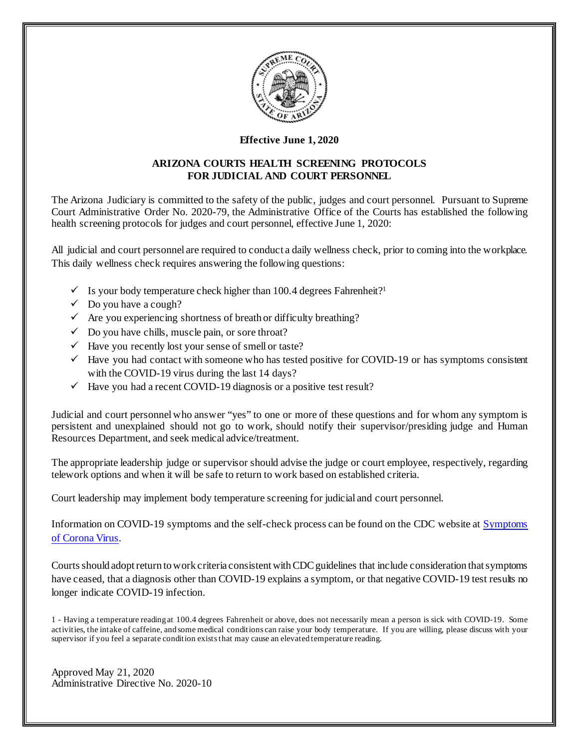

#### **Effective June 1, 2020**

#### **ARIZONA COURTS HEALTH SCREENING PROTOCOLS FOR JUDICIAL AND COURT PERSONNEL**

The Arizona Judiciary is committed to the safety of the public, judges and court personnel. Pursuant to Supreme Court Administrative Order No. 2020-79, the Administrative Office of the Courts has established the following health screening protocols for judges and court personnel, effective June 1, 2020:

All judicial and court personnel are required to conduct a daily wellness check, prior to coming into the workplace. This daily wellness check requires answering the following questions:

- $\checkmark$  Is your body temperature check higher than 100.4 degrees Fahrenheit?<sup>1</sup>
- $\checkmark$  Do you have a cough?
- $\checkmark$  Are you experiencing shortness of breath or difficulty breathing?
- $\checkmark$  Do you have chills, muscle pain, or sore throat?
- $\checkmark$  Have you recently lost your sense of smell or taste?
- $\checkmark$  Have you had contact with someone who has tested positive for COVID-19 or has symptoms consistent with the COVID-19 virus during the last 14 days?
- $\checkmark$  Have you had a recent COVID-19 diagnosis or a positive test result?

Judicial and court personnel who answer "yes" to one or more of these questions and for whom any symptom is persistent and unexplained should not go to work, should notify their supervisor/presiding judge and Human Resources Department, and seek medical advice/treatment.

The appropriate leadership judge or supervisor should advise the judge or court employee, respectively, regarding telework options and when it will be safe to return to work based on established criteria.

Court leadership may implement body temperature screening for judicial and court personnel.

Information on COVID-19 symptoms and the self-check process can be found on the CDC website at [Symptoms](https://www.cdc.gov/coronavirus/2019-ncov/symptoms-testing/symptoms.html)  [of Corona Virus.](https://www.cdc.gov/coronavirus/2019-ncov/symptoms-testing/symptoms.html)

Courts should adopt return to work criteria consistent withCDC guidelines that include consideration that symptoms have ceased, that a diagnosis other than COVID-19 explains a symptom, or that negative COVID-19 test results no longer indicate COVID-19 infection.

1 - Having a temperature reading at 100.4 degrees Fahrenheit or above, does not necessarily mean a person is sick with COVID-19. Some activities, the intake of caffeine, and some medical conditions can raise your body temperature. If you are willing, please discuss with your supervisor if you feel a separate condition exists that may cause an elevated temperature reading.

Approved May 21, 2020 Administrative Directive No. 2020-10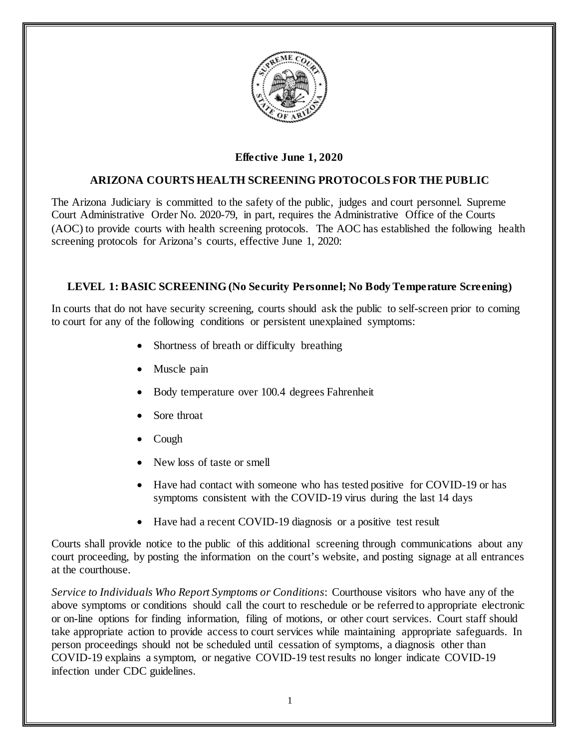

# **Effective June 1, 2020**

## **ARIZONA COURTS HEALTH SCREENING PROTOCOLS FOR THE PUBLIC**

The Arizona Judiciary is committed to the safety of the public, judges and court personnel. Supreme Court Administrative Order No. 2020-79, in part, requires the Administrative Office of the Courts (AOC) to provide courts with health screening protocols. The AOC has established the following health screening protocols for Arizona's courts, effective June 1, 2020:

#### **LEVEL 1: BASIC SCREENING (No Security Personnel; No Body Temperature Screening)**

In courts that do not have security screening, courts should ask the public to self-screen prior to coming to court for any of the following conditions or persistent unexplained symptoms:

- Shortness of breath or difficulty breathing
- Muscle pain
- Body temperature over 100.4 degrees Fahrenheit
- Sore throat
- Cough
- New loss of taste or smell
- Have had contact with someone who has tested positive for COVID-19 or has symptoms consistent with the COVID-19 virus during the last 14 days
- Have had a recent COVID-19 diagnosis or a positive test result

Courts shall provide notice to the public of this additional screening through communications about any court proceeding, by posting the information on the court's website, and posting signage at all entrances at the courthouse.

*Service to Individuals Who Report Symptoms or Conditions*: Courthouse visitors who have any of the above symptoms or conditions should call the court to reschedule or be referred to appropriate electronic or on-line options for finding information, filing of motions, or other court services. Court staff should take appropriate action to provide access to court services while maintaining appropriate safeguards. In person proceedings should not be scheduled until cessation of symptoms, a diagnosis other than COVID-19 explains a symptom, or negative COVID-19 test results no longer indicate COVID-19 infection under CDC guidelines.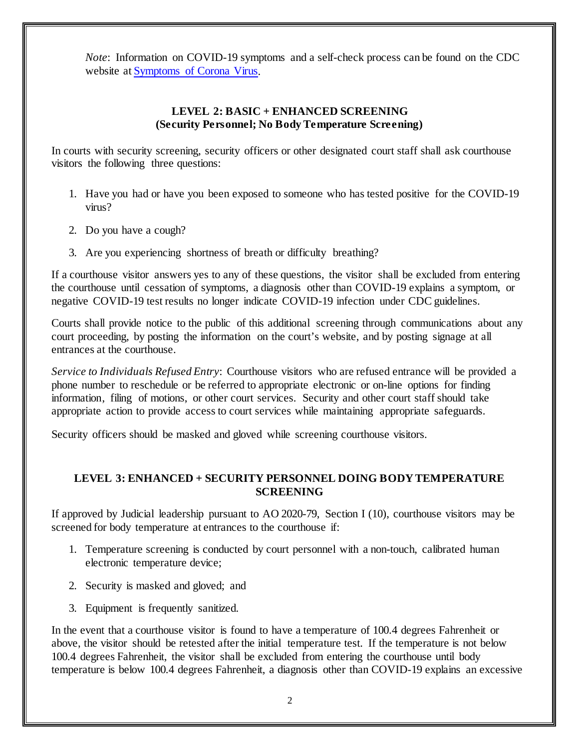*Note*: Information on COVID-19 symptoms and a self-check process can be found on the CDC website a[t Symptoms of Corona Virus.](https://www.cdc.gov/coronavirus/2019-ncov/symptoms-testing/symptoms.html)

## **LEVEL 2: BASIC + ENHANCED SCREENING (Security Personnel; No Body Temperature Screening)**

In courts with security screening, security officers or other designated court staff shall ask courthouse visitors the following three questions:

- 1. Have you had or have you been exposed to someone who has tested positive for the COVID-19 virus?
- 2. Do you have a cough?
- 3. Are you experiencing shortness of breath or difficulty breathing?

If a courthouse visitor answers yes to any of these questions, the visitor shall be excluded from entering the courthouse until cessation of symptoms, a diagnosis other than COVID-19 explains a symptom, or negative COVID-19 test results no longer indicate COVID-19 infection under CDC guidelines.

Courts shall provide notice to the public of this additional screening through communications about any court proceeding, by posting the information on the court's website, and by posting signage at all entrances at the courthouse.

*Service to Individuals Refused Entry*: Courthouse visitors who are refused entrance will be provided a phone number to reschedule or be referred to appropriate electronic or on-line options for finding information, filing of motions, or other court services. Security and other court staff should take appropriate action to provide access to court services while maintaining appropriate safeguards.

Security officers should be masked and gloved while screening courthouse visitors.

## **LEVEL 3: ENHANCED + SECURITY PERSONNEL DOING BODY TEMPERATURE SCREENING**

If approved by Judicial leadership pursuant to AO 2020-79, Section I (10), courthouse visitors may be screened for body temperature at entrances to the courthouse if:

- 1. Temperature screening is conducted by court personnel with a non-touch, calibrated human electronic temperature device;
- 2. Security is masked and gloved; and
- 3. Equipment is frequently sanitized.

In the event that a courthouse visitor is found to have a temperature of 100.4 degrees Fahrenheit or above, the visitor should be retested after the initial temperature test. If the temperature is not below 100.4 degrees Fahrenheit, the visitor shall be excluded from entering the courthouse until body temperature is below 100.4 degrees Fahrenheit, a diagnosis other than COVID-19 explains an excessive